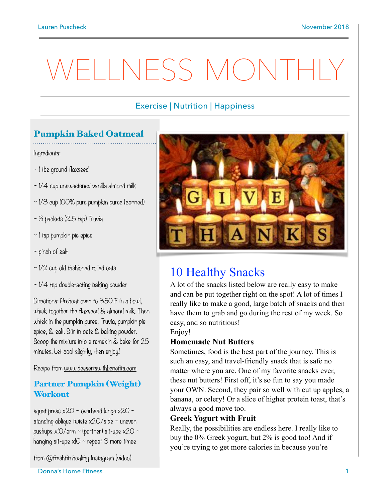# WELLNESS MONTH

### Exercise | Nutrition | Happiness

## Pumpkin Baked Oatmeal

Ingredients:

- ~ 1 tbs ground flaxseed
- $\sim$  1/4 cup unsweetened vanilla almond milk
- ~ 1/3 cup 100% pure pumpkin puree (canned)
- ~ 3 packets (2**.**5 tsp) Truvia
- ~ 1 tsp pumpkin pie spice
- $\sim$  pinch of salt
- ~ 1/2 cup old fashioned rolled oats
- $\sim$  1/4 tsp double-acting baking powder

Directions: Preheat oven to 350 F. In a bowl, whisk together the flaxseed & almond milk. Then whisk in the pumpkin puree, Truvia, pumpkin pie spice, & salt. Stir in oats & baking powder. Scoop the mixture into a ramekin & bake for 25 minutes. Let cool slightly, then enjoy!

Recipe from [www.dessertswithbenefits.com](http://www.dessertswithbenefits.com)

#### Partner Pumpkin (Weight) **Workout**

squat press  $x20 -$  overhead lunge  $x20$ standing oblique twists  $x20/\text{s}$ ide ~ uneven pushups xlO/arm ~ (partner) sit-ups x2O ~ hanging sit-ups  $x$ IO  $\sim$  repeat 3 more times

from @freshfitnhealthy Instagram (video)

Donna's Home Fitness 1



# 10 Healthy Snacks

A lot of the snacks listed below are really easy to make and can be put together right on the spot! A lot of times I really like to make a good, large batch of snacks and then have them to grab and go during the rest of my week. So easy, and so nutritious!

Enjoy!

#### **Homemade Nut Butters**

Sometimes, food is the best part of the journey. This is such an easy, and travel-friendly snack that is safe no matter where you are. One of my favorite snacks ever, these nut butters! First off, it's so fun to say you made your OWN. Second, they pair so well with cut up apples, a banana, or celery! Or a slice of higher protein toast, that's always a good move too.

#### **Greek Yogurt with Fruit**

Really, the possibilities are endless here. I really like to buy the 0% Greek yogurt, but 2% is good too! And if you're trying to get more calories in because you're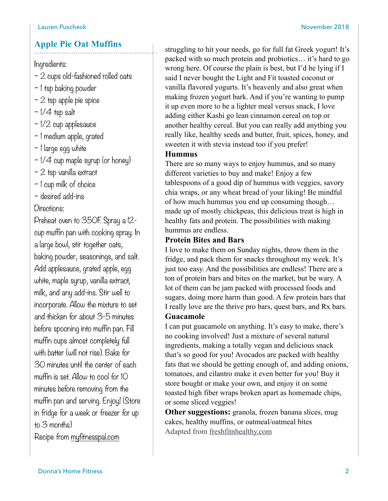#### **Apple Pie Oat Muffins**

Ingredients:

- $\sim$  2 cups old-fashioned rolled oats
- ~ 1 tsp baking powder
- ~ 2 tsp apple pie spice
- $\sim$  1/4 tsp salt
- $\sim$  1/2 cup applesauce
- ~ 1 medium apple, grated
- ~ 1 large egg white
- $\sim$  1/4 cup maple syrup (or honey)
- $~2$  tsp vanilla extract
- ~ 1 cup milk of choice
- $~\sim$  desired add-ins

Directions:

Preheat oven to 350F. Spray a 12 cup muffin pan with cooking spray. In a large bowl, stir together oats, baking powder, seasonings, and salt. Add applesauce, grated apple, egg white, maple syrup, vanilla extract, milk, and any add-ins. Stir well to incorporate. Allow the mixture to set and thicken for about 3-5 minutes before spooning into muffin pan. Fill muffin cups almost completely full with batter (will not rise). Bake for 30 minutes until the center of each muffin is set. Allow to cool for 10 minutes before removing from the muffin pan and serving. Enjoy! (Store in fridge for a week or freezer for up to 3 months)

Recipe from [myfitnesspal.com](http://myfitnesspal.com)

struggling to hit your needs, go for full fat Greek yogurt! It's packed with so much protein and probiotics… it's hard to go wrong here. Of course the plain is best, but I'd be lying if I said I never bought the Light and Fit toasted coconut or vanilla flavored yogurts. It's heavenly and also great when making frozen yogurt bark. And if you're wanting to pump it up even more to be a lighter meal versus snack, I love adding either Kashi go lean cinnamon cereal on top or another healthy cereal. But you can really add anything you really like, healthy seeds and butter, fruit, spices, honey, and sweeten it with stevia instead too if you prefer!

#### **Hummus**

There are so many ways to enjoy hummus, and so many different varieties to buy and make! Enjoy a few tablespoons of a good dip of hummus with veggies, savory chia wraps, or any wheat bread of your liking! Be mindful of how much hummus you end up consuming though… made up of mostly chickpeas, this delicious treat is high in healthy fats and protein. The possibilities with making hummus are endless.

#### **Protein Bites and Bars**

I love to make them on Sunday nights, throw them in the fridge, and pack them for snacks throughout my week. It's just too easy. And the possibilities are endless! There are a ton of protein bars and bites on the market, but be wary. A lot of them can be jam packed with processed foods and sugars, doing more harm than good. A few protein bars that I really love are the [thrive pro bars,](https://sgspann.le-vel.com/Products/THRIVE/PROBars) quest bars, and Rx bars.

#### **Guacamole**

I can put guacamole on anything. It's easy to make, there's no cooking involved! Just a mixture of several natural ingredients, making a totally vegan and delicious snack that's so good for you! Avocados are packed with healthy fats that we should be getting enough of, and adding onions, tomatoes, and cilantro make it even better for you! Buy it store bought or make your own, and enjoy it on some toasted high fiber wraps broken apart as homemade chips, or some sliced veggies!

**Other suggestions:** granola, frozen banana slices, mug cakes, healthy muffins, or oatmeal/oatmeal bites Adapted from [freshfitnhealthy.com](http://freshfitnhealthy.com)